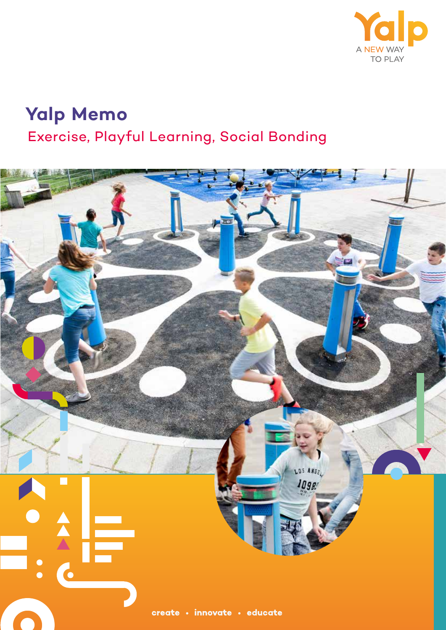

# **Yalp Memo** Exercise, Playful Learning, Social Bonding

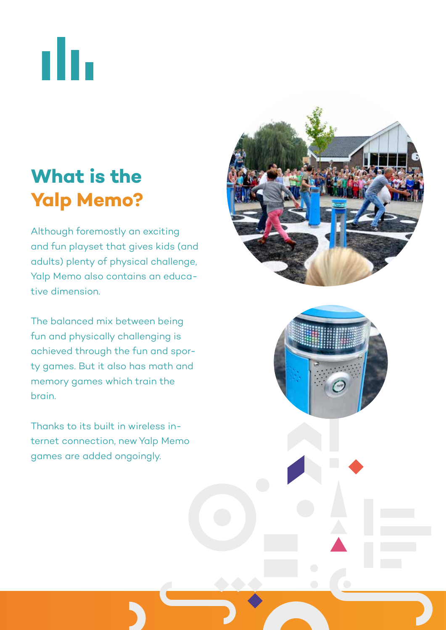ılı.

# **What is the Yalp Memo?**

Although foremostly an exciting and fun playset that gives kids (and adults) plenty of physical challenge, Yalp Memo also contains an educative dimension.

The balanced mix between being fun and physically challenging is achieved through the fun and sporty games. But it also has math and memory games which train the brain.

Thanks to its built in wireless internet connection, new Yalp Memo games are added ongoingly.



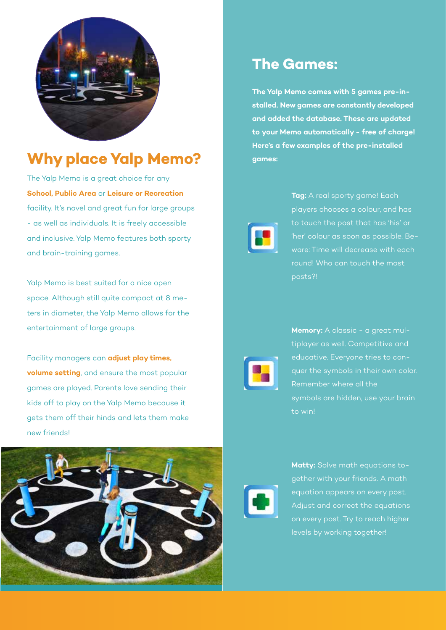

## **Why place Yalp Memo?**

The Yalp Memo is a great choice for any **School, Public Area** or **Leisure or Recreation** facility. It's novel and great fun for large groups - as well as individuals. It is freely accessible and inclusive. Yalp Memo features both sporty and brain-training games.

Yalp Memo is best suited for a nice open space. Although still quite compact at 8 meters in diameter, the Yalp Memo allows for the entertainment of large groups.

Facility managers can **adjust play times, volume setting**, and ensure the most popular games are played. Parents love sending their kids off to play on the Yalp Memo because it gets them off their hinds and lets them make new friends!



#### **The Games:**

**The Yalp Memo comes with 5 games pre-installed. New games are constantly developed and added the database. These are updated to your Memo automatically - free of charge! Here's a few examples of the pre-installed games:** 



**Tag:** A real sporty game! Each players chooses a colour, and has 'her' colour as soon as possible. Beware: Time will decrease with each round! Who can touch the most posts?!



**Memory:** A classic - a great multiplayer as well. Competitive and quer the symbols in their own color. Remember where all the symbols are hidden, use your brain to win!



**Matty:** Solve math equations together with your friends. A math equation appears on every post. Adjust and correct the equations on every post. Try to reach higher levels by working together!